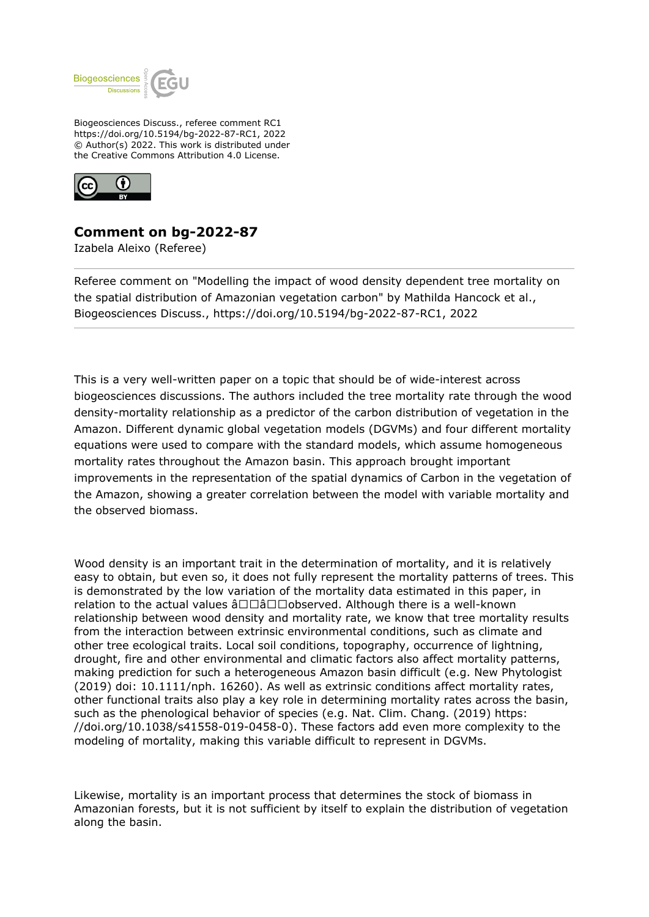

Biogeosciences Discuss., referee comment RC1 https://doi.org/10.5194/bg-2022-87-RC1, 2022 © Author(s) 2022. This work is distributed under the Creative Commons Attribution 4.0 License.



## **Comment on bg-2022-87**

Izabela Aleixo (Referee)

Referee comment on "Modelling the impact of wood density dependent tree mortality on the spatial distribution of Amazonian vegetation carbon" by Mathilda Hancock et al., Biogeosciences Discuss., https://doi.org/10.5194/bg-2022-87-RC1, 2022

This is a very well-written paper on a topic that should be of wide-interest across biogeosciences discussions. The authors included the tree mortality rate through the wood density-mortality relationship as a predictor of the carbon distribution of vegetation in the Amazon. Different dynamic global vegetation models (DGVMs) and four different mortality equations were used to compare with the standard models, which assume homogeneous mortality rates throughout the Amazon basin. This approach brought important improvements in the representation of the spatial dynamics of Carbon in the vegetation of the Amazon, showing a greater correlation between the model with variable mortality and the observed biomass.

Wood density is an important trait in the determination of mortality, and it is relatively easy to obtain, but even so, it does not fully represent the mortality patterns of trees. This is demonstrated by the low variation of the mortality data estimated in this paper, in relation to the actual values  $\hat{a} \Box \Box \hat{a} \Box \Box$ observed. Although there is a well-known relationship between wood density and mortality rate, we know that tree mortality results from the interaction between extrinsic environmental conditions, such as climate and other tree ecological traits. Local soil conditions, topography, occurrence of lightning, drought, fire and other environmental and climatic factors also affect mortality patterns, making prediction for such a heterogeneous Amazon basin difficult (e.g. New Phytologist (2019) doi: 10.1111/nph. 16260). As well as extrinsic conditions affect mortality rates, other functional traits also play a key role in determining mortality rates across the basin, such as the phenological behavior of species (e.g. Nat. Clim. Chang. (2019) https: //doi.org/10.1038/s41558-019-0458-0). These factors add even more complexity to the modeling of mortality, making this variable difficult to represent in DGVMs.

Likewise, mortality is an important process that determines the stock of biomass in Amazonian forests, but it is not sufficient by itself to explain the distribution of vegetation along the basin.